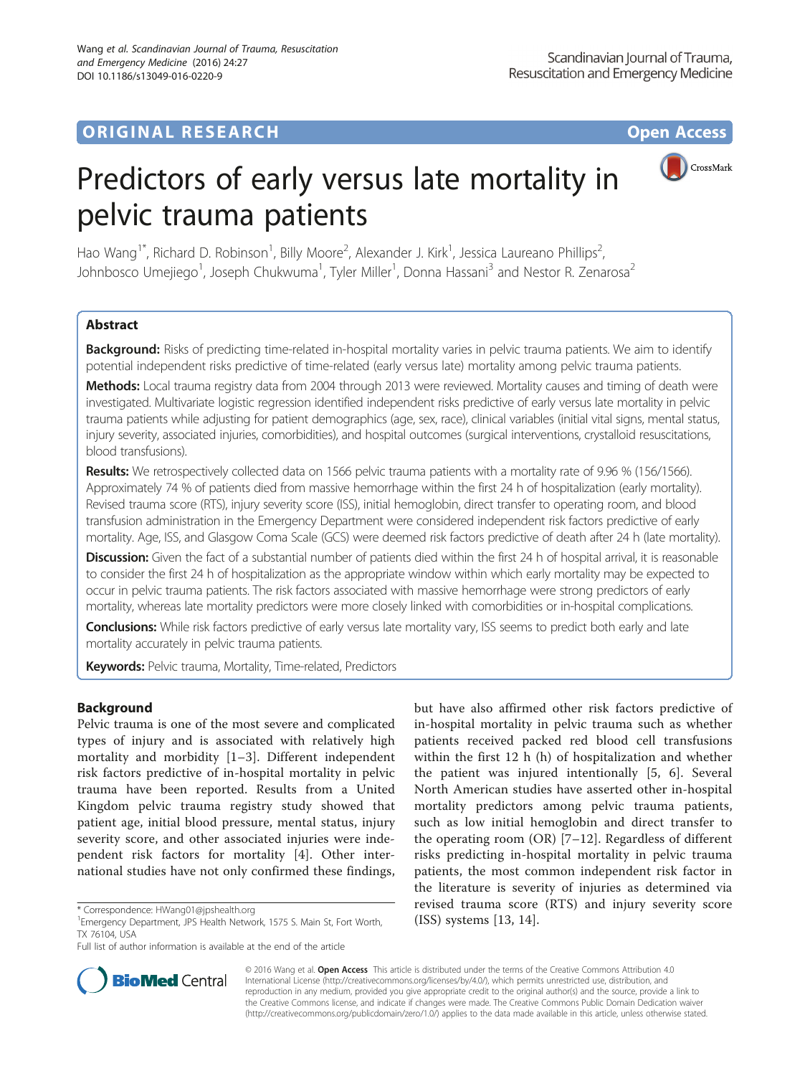# **ORIGINAL RESEARCH CONSUMING ACCESS**



# Predictors of early versus late mortality in pelvic trauma patients

Hao Wang<sup>1\*</sup>, Richard D. Robinson<sup>1</sup>, Billy Moore<sup>2</sup>, Alexander J. Kirk<sup>1</sup>, Jessica Laureano Phillips<sup>2</sup> , Johnbosco Umejiego<sup>1</sup>, Joseph Chukwuma<sup>1</sup>, Tyler Miller<sup>1</sup>, Donna Hassani<sup>3</sup> and Nestor R. Zenarosa<sup>2</sup>

# Abstract

Background: Risks of predicting time-related in-hospital mortality varies in pelvic trauma patients. We aim to identify potential independent risks predictive of time-related (early versus late) mortality among pelvic trauma patients.

Methods: Local trauma registry data from 2004 through 2013 were reviewed. Mortality causes and timing of death were investigated. Multivariate logistic regression identified independent risks predictive of early versus late mortality in pelvic trauma patients while adjusting for patient demographics (age, sex, race), clinical variables (initial vital signs, mental status, injury severity, associated injuries, comorbidities), and hospital outcomes (surgical interventions, crystalloid resuscitations, blood transfusions).

Results: We retrospectively collected data on 1566 pelvic trauma patients with a mortality rate of 9.96 % (156/1566). Approximately 74 % of patients died from massive hemorrhage within the first 24 h of hospitalization (early mortality). Revised trauma score (RTS), injury severity score (ISS), initial hemoglobin, direct transfer to operating room, and blood transfusion administration in the Emergency Department were considered independent risk factors predictive of early mortality. Age, ISS, and Glasgow Coma Scale (GCS) were deemed risk factors predictive of death after 24 h (late mortality).

Discussion: Given the fact of a substantial number of patients died within the first 24 h of hospital arrival, it is reasonable to consider the first 24 h of hospitalization as the appropriate window within which early mortality may be expected to occur in pelvic trauma patients. The risk factors associated with massive hemorrhage were strong predictors of early mortality, whereas late mortality predictors were more closely linked with comorbidities or in-hospital complications.

Conclusions: While risk factors predictive of early versus late mortality vary, ISS seems to predict both early and late mortality accurately in pelvic trauma patients.

Keywords: Pelvic trauma, Mortality, Time-related, Predictors

## Background

Pelvic trauma is one of the most severe and complicated types of injury and is associated with relatively high mortality and morbidity [[1](#page-6-0)–[3\]](#page-6-0). Different independent risk factors predictive of in-hospital mortality in pelvic trauma have been reported. Results from a United Kingdom pelvic trauma registry study showed that patient age, initial blood pressure, mental status, injury severity score, and other associated injuries were independent risk factors for mortality [\[4](#page-6-0)]. Other international studies have not only confirmed these findings,

but have also affirmed other risk factors predictive of in-hospital mortality in pelvic trauma such as whether patients received packed red blood cell transfusions within the first 12 h (h) of hospitalization and whether the patient was injured intentionally [[5, 6](#page-6-0)]. Several North American studies have asserted other in-hospital mortality predictors among pelvic trauma patients, such as low initial hemoglobin and direct transfer to the operating room (OR) [[7](#page-6-0)–[12\]](#page-6-0). Regardless of different risks predicting in-hospital mortality in pelvic trauma patients, the most common independent risk factor in the literature is severity of injuries as determined via revised trauma score (RTS) and injury severity score



© 2016 Wang et al. Open Access This article is distributed under the terms of the Creative Commons Attribution 4.0 International License [\(http://creativecommons.org/licenses/by/4.0/](http://creativecommons.org/licenses/by/4.0/)), which permits unrestricted use, distribution, and reproduction in any medium, provided you give appropriate credit to the original author(s) and the source, provide a link to the Creative Commons license, and indicate if changes were made. The Creative Commons Public Domain Dedication waiver [\(http://creativecommons.org/publicdomain/zero/1.0/](http://creativecommons.org/publicdomain/zero/1.0/)) applies to the data made available in this article, unless otherwise stated.

<sup>\*</sup> Correspondence: HWang01@jpshealth.org 1575 S. Main St, Fort Worth, The Martin Store 1: [13](#page-7-0), [14](#page-7-0)].<br>I Emergency Department, JPS Health Network, 1575 S. Main St, Fort Worth, 1589 systems [13, 14]. TX 76104, USA

Full list of author information is available at the end of the article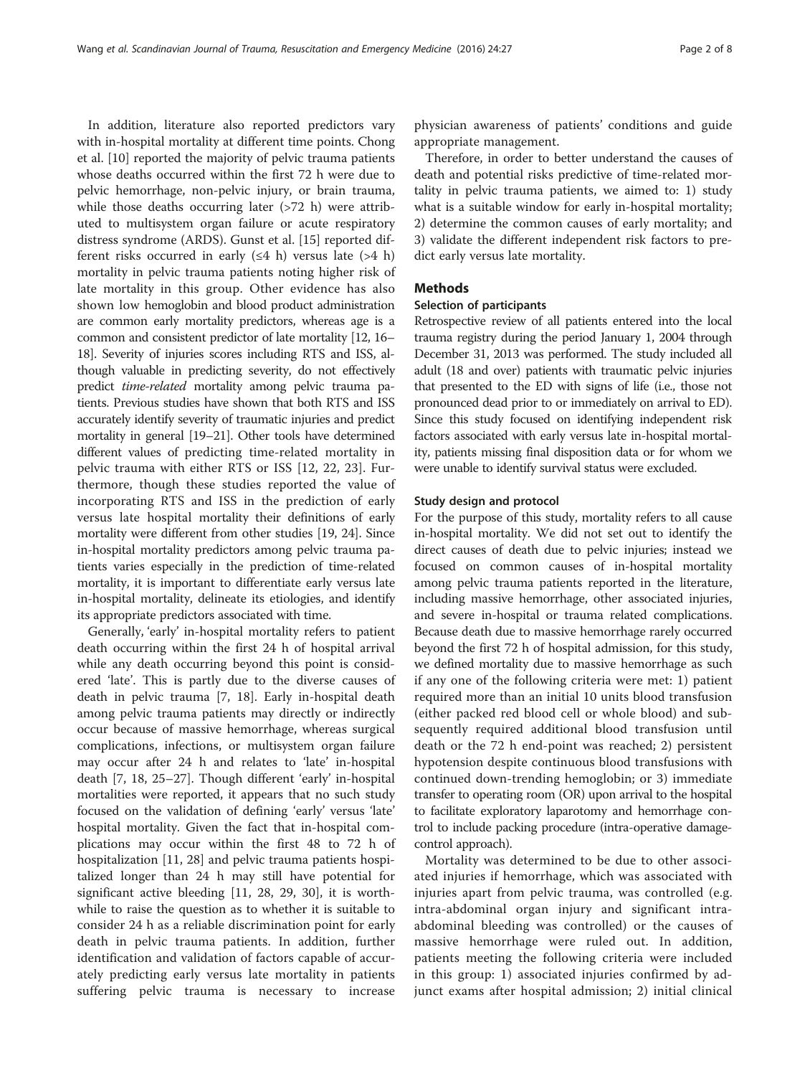<span id="page-1-0"></span>In addition, literature also reported predictors vary with in-hospital mortality at different time points. Chong et al. [\[10](#page-6-0)] reported the majority of pelvic trauma patients whose deaths occurred within the first 72 h were due to pelvic hemorrhage, non-pelvic injury, or brain trauma, while those deaths occurring later  $(>72$  h) were attributed to multisystem organ failure or acute respiratory distress syndrome (ARDS). Gunst et al. [[15\]](#page-7-0) reported different risks occurred in early  $(≤4 h)$  versus late  $(>4 h)$ mortality in pelvic trauma patients noting higher risk of late mortality in this group. Other evidence has also shown low hemoglobin and blood product administration are common early mortality predictors, whereas age is a common and consistent predictor of late mortality [\[12](#page-6-0), [16](#page-7-0)– [18](#page-7-0)]. Severity of injuries scores including RTS and ISS, although valuable in predicting severity, do not effectively predict time-related mortality among pelvic trauma patients. Previous studies have shown that both RTS and ISS accurately identify severity of traumatic injuries and predict mortality in general [\[19](#page-7-0)–[21](#page-7-0)]. Other tools have determined different values of predicting time-related mortality in pelvic trauma with either RTS or ISS [[12,](#page-6-0) [22, 23\]](#page-7-0). Furthermore, though these studies reported the value of incorporating RTS and ISS in the prediction of early versus late hospital mortality their definitions of early mortality were different from other studies [\[19, 24\]](#page-7-0). Since in-hospital mortality predictors among pelvic trauma patients varies especially in the prediction of time-related mortality, it is important to differentiate early versus late in-hospital mortality, delineate its etiologies, and identify its appropriate predictors associated with time.

Generally, 'early' in-hospital mortality refers to patient death occurring within the first 24 h of hospital arrival while any death occurring beyond this point is considered 'late'. This is partly due to the diverse causes of death in pelvic trauma [\[7](#page-6-0), [18\]](#page-7-0). Early in-hospital death among pelvic trauma patients may directly or indirectly occur because of massive hemorrhage, whereas surgical complications, infections, or multisystem organ failure may occur after 24 h and relates to 'late' in-hospital death [[7,](#page-6-0) [18](#page-7-0), [25](#page-7-0)–[27](#page-7-0)]. Though different 'early' in-hospital mortalities were reported, it appears that no such study focused on the validation of defining 'early' versus 'late' hospital mortality. Given the fact that in-hospital complications may occur within the first 48 to 72 h of hospitalization [[11](#page-6-0), [28](#page-7-0)] and pelvic trauma patients hospitalized longer than 24 h may still have potential for significant active bleeding [[11,](#page-6-0) [28](#page-7-0), [29, 30](#page-7-0)], it is worthwhile to raise the question as to whether it is suitable to consider 24 h as a reliable discrimination point for early death in pelvic trauma patients. In addition, further identification and validation of factors capable of accurately predicting early versus late mortality in patients suffering pelvic trauma is necessary to increase

physician awareness of patients' conditions and guide appropriate management.

Therefore, in order to better understand the causes of death and potential risks predictive of time-related mortality in pelvic trauma patients, we aimed to: 1) study what is a suitable window for early in-hospital mortality; 2) determine the common causes of early mortality; and 3) validate the different independent risk factors to predict early versus late mortality.

#### **Methods**

#### Selection of participants

Retrospective review of all patients entered into the local trauma registry during the period January 1, 2004 through December 31, 2013 was performed. The study included all adult (18 and over) patients with traumatic pelvic injuries that presented to the ED with signs of life (i.e., those not pronounced dead prior to or immediately on arrival to ED). Since this study focused on identifying independent risk factors associated with early versus late in-hospital mortality, patients missing final disposition data or for whom we were unable to identify survival status were excluded.

#### Study design and protocol

For the purpose of this study, mortality refers to all cause in-hospital mortality. We did not set out to identify the direct causes of death due to pelvic injuries; instead we focused on common causes of in-hospital mortality among pelvic trauma patients reported in the literature, including massive hemorrhage, other associated injuries, and severe in-hospital or trauma related complications. Because death due to massive hemorrhage rarely occurred beyond the first 72 h of hospital admission, for this study, we defined mortality due to massive hemorrhage as such if any one of the following criteria were met: 1) patient required more than an initial 10 units blood transfusion (either packed red blood cell or whole blood) and subsequently required additional blood transfusion until death or the 72 h end-point was reached; 2) persistent hypotension despite continuous blood transfusions with continued down-trending hemoglobin; or 3) immediate transfer to operating room (OR) upon arrival to the hospital to facilitate exploratory laparotomy and hemorrhage control to include packing procedure (intra-operative damagecontrol approach).

Mortality was determined to be due to other associated injuries if hemorrhage, which was associated with injuries apart from pelvic trauma, was controlled (e.g. intra-abdominal organ injury and significant intraabdominal bleeding was controlled) or the causes of massive hemorrhage were ruled out. In addition, patients meeting the following criteria were included in this group: 1) associated injuries confirmed by adjunct exams after hospital admission; 2) initial clinical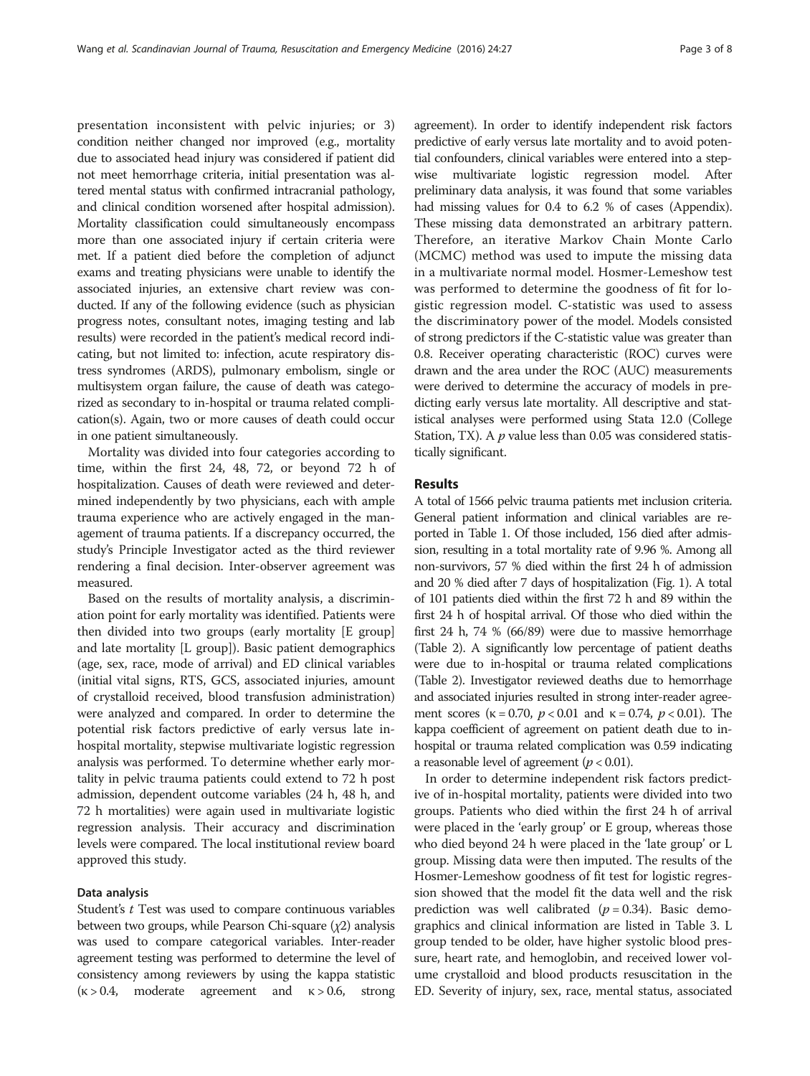presentation inconsistent with pelvic injuries; or 3) condition neither changed nor improved (e.g., mortality due to associated head injury was considered if patient did not meet hemorrhage criteria, initial presentation was altered mental status with confirmed intracranial pathology, and clinical condition worsened after hospital admission). Mortality classification could simultaneously encompass more than one associated injury if certain criteria were met. If a patient died before the completion of adjunct exams and treating physicians were unable to identify the associated injuries, an extensive chart review was conducted. If any of the following evidence (such as physician progress notes, consultant notes, imaging testing and lab results) were recorded in the patient's medical record indicating, but not limited to: infection, acute respiratory distress syndromes (ARDS), pulmonary embolism, single or multisystem organ failure, the cause of death was categorized as secondary to in-hospital or trauma related complication(s). Again, two or more causes of death could occur in one patient simultaneously.

Mortality was divided into four categories according to time, within the first 24, 48, 72, or beyond 72 h of hospitalization. Causes of death were reviewed and determined independently by two physicians, each with ample trauma experience who are actively engaged in the management of trauma patients. If a discrepancy occurred, the study's Principle Investigator acted as the third reviewer rendering a final decision. Inter-observer agreement was measured.

Based on the results of mortality analysis, a discrimination point for early mortality was identified. Patients were then divided into two groups (early mortality [E group] and late mortality [L group]). Basic patient demographics (age, sex, race, mode of arrival) and ED clinical variables (initial vital signs, RTS, GCS, associated injuries, amount of crystalloid received, blood transfusion administration) were analyzed and compared. In order to determine the potential risk factors predictive of early versus late inhospital mortality, stepwise multivariate logistic regression analysis was performed. To determine whether early mortality in pelvic trauma patients could extend to 72 h post admission, dependent outcome variables (24 h, 48 h, and 72 h mortalities) were again used in multivariate logistic regression analysis. Their accuracy and discrimination levels were compared. The local institutional review board approved this study.

#### Data analysis

Student's t Test was used to compare continuous variables between two groups, while Pearson Chi-square  $(\chi^2)$  analysis was used to compare categorical variables. Inter-reader agreement testing was performed to determine the level of consistency among reviewers by using the kappa statistic  $(k > 0.4,$  moderate agreement and  $k > 0.6$ , strong

agreement). In order to identify independent risk factors predictive of early versus late mortality and to avoid potential confounders, clinical variables were entered into a stepwise multivariate logistic regression model. After preliminary data analysis, it was found that some variables had missing values for 0.4 to 6.2 % of cases [\(Appendix](#page-6-0)). These missing data demonstrated an arbitrary pattern. Therefore, an iterative Markov Chain Monte Carlo (MCMC) method was used to impute the missing data in a multivariate normal model. Hosmer-Lemeshow test was performed to determine the goodness of fit for logistic regression model. C-statistic was used to assess the discriminatory power of the model. Models consisted of strong predictors if the C-statistic value was greater than 0.8. Receiver operating characteristic (ROC) curves were drawn and the area under the ROC (AUC) measurements were derived to determine the accuracy of models in predicting early versus late mortality. All descriptive and statistical analyses were performed using Stata 12.0 (College Station, TX). A  $p$  value less than 0.05 was considered statistically significant.

#### Results

A total of 1566 pelvic trauma patients met inclusion criteria. General patient information and clinical variables are reported in Table [1](#page-3-0). Of those included, 156 died after admission, resulting in a total mortality rate of 9.96 %. Among all non-survivors, 57 % died within the first 24 h of admission and 20 % died after 7 days of hospitalization (Fig. [1\)](#page-3-0). A total of 101 patients died within the first 72 h and 89 within the first 24 h of hospital arrival. Of those who died within the first 24 h, 74 % (66/89) were due to massive hemorrhage (Table [2](#page-3-0)). A significantly low percentage of patient deaths were due to in-hospital or trauma related complications (Table [2](#page-3-0)). Investigator reviewed deaths due to hemorrhage and associated injuries resulted in strong inter-reader agreement scores ( $\kappa = 0.70$ ,  $p < 0.01$  and  $\kappa = 0.74$ ,  $p < 0.01$ ). The kappa coefficient of agreement on patient death due to inhospital or trauma related complication was 0.59 indicating a reasonable level of agreement ( $p < 0.01$ ).

In order to determine independent risk factors predictive of in-hospital mortality, patients were divided into two groups. Patients who died within the first 24 h of arrival were placed in the 'early group' or E group, whereas those who died beyond 24 h were placed in the 'late group' or L group. Missing data were then imputed. The results of the Hosmer-Lemeshow goodness of fit test for logistic regression showed that the model fit the data well and the risk prediction was well calibrated ( $p = 0.34$ ). Basic demographics and clinical information are listed in Table [3](#page-4-0). L group tended to be older, have higher systolic blood pressure, heart rate, and hemoglobin, and received lower volume crystalloid and blood products resuscitation in the ED. Severity of injury, sex, race, mental status, associated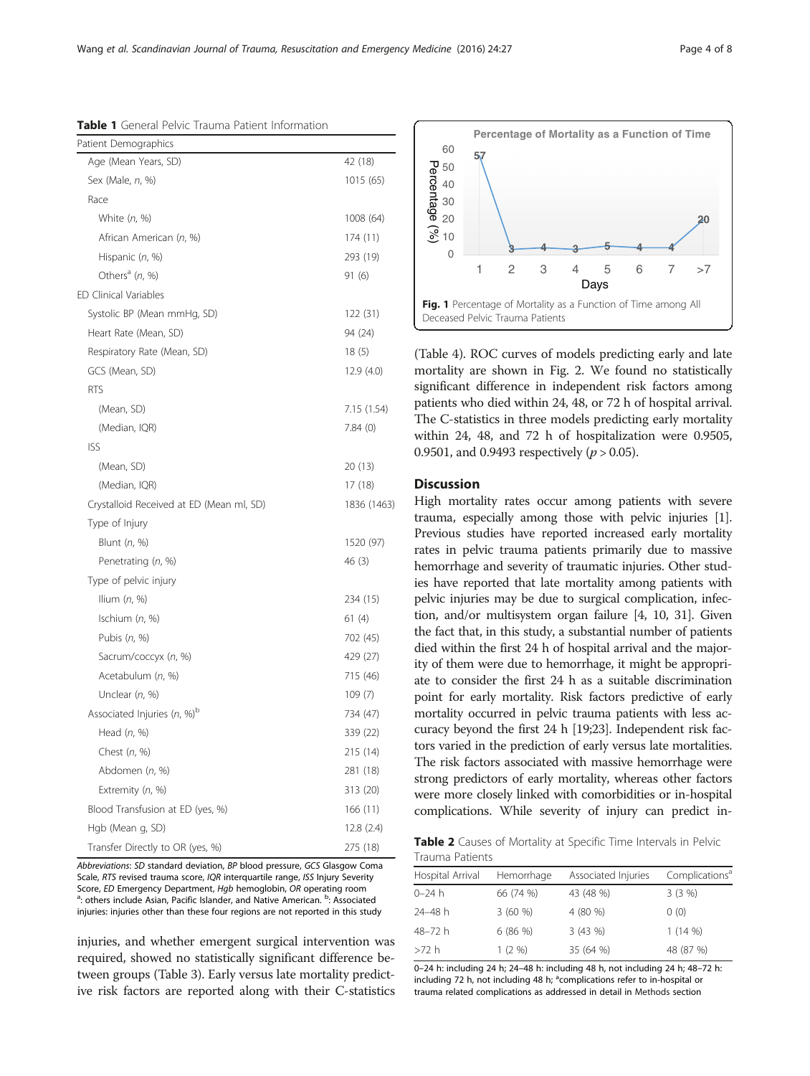<span id="page-3-0"></span>Table 1 General Pelvic Trauma Patient Information

| Patient Demographics                     |             |
|------------------------------------------|-------------|
| Age (Mean Years, SD)                     | 42 (18)     |
| Sex (Male, n, %)                         | 1015 (65)   |
| Race                                     |             |
| White $(n, %)$                           | 1008 (64)   |
| African American (n, %)                  | 174 (11)    |
| Hispanic (n, %)                          | 293 (19)    |
| Others <sup>a</sup> (n, %)               | 91 (6)      |
| <b>ED Clinical Variables</b>             |             |
| Systolic BP (Mean mmHg, SD)              | 122 (31)    |
| Heart Rate (Mean, SD)                    | 94 (24)     |
| Respiratory Rate (Mean, SD)              | 18(5)       |
| GCS (Mean, SD)                           | 12.9 (4.0)  |
| <b>RTS</b>                               |             |
| (Mean, SD)                               | 7.15 (1.54) |
| (Median, IQR)                            | 7.84(0)     |
| ISS                                      |             |
| (Mean, SD)                               | 20 (13)     |
| (Median, IQR)                            | 17 (18)     |
| Crystalloid Received at ED (Mean ml, SD) | 1836 (1463) |
| Type of Injury                           |             |
| Blunt (n, %)                             | 1520 (97)   |
| Penetrating (n, %)                       | 46 (3)      |
| Type of pelvic injury                    |             |
| llium $(n, %)$                           | 234 (15)    |
| Ischium $(n, %)$                         | 61(4)       |
| Pubis (n, %)                             | 702 (45)    |
| Sacrum/coccyx (n, %)                     | 429 (27)    |
| Acetabulum (n, %)                        | 715 (46)    |
| Unclear $(n, %)$                         | 109(7)      |
| Associated Injuries $(n, %)^{b}$         | 734 (47)    |
| Head $(n, %)$                            | 339 (22)    |
| Chest (n, %)                             | 215 (14)    |
| Abdomen (n, %)                           | 281 (18)    |
| Extremity (n, %)                         | 313 (20)    |
| Blood Transfusion at ED (yes, %)         | 166 (11)    |
| Hgb (Mean g, SD)                         | 12.8(2.4)   |
| Transfer Directly to OR (yes, %)         | 275 (18)    |

Abbreviations: SD standard deviation, BP blood pressure, GCS Glasgow Coma Scale, RTS revised trauma score, IQR interquartile range, ISS Injury Severity Score, ED Emergency Department, Hgb hemoglobin, OR operating room : others include Asian, Pacific Islander, and Native American. <sup>b</sup>: Associated injuries: injuries other than these four regions are not reported in this study

injuries, and whether emergent surgical intervention was required, showed no statistically significant difference between groups (Table [3](#page-4-0)). Early versus late mortality predictive risk factors are reported along with their C-statistics



(Table [4](#page-5-0)). ROC curves of models predicting early and late mortality are shown in Fig. [2.](#page-5-0) We found no statistically significant difference in independent risk factors among patients who died within 24, 48, or 72 h of hospital arrival. The C-statistics in three models predicting early mortality within 24, 48, and 72 h of hospitalization were 0.9505, 0.9501, and 0.9493 respectively ( $p > 0.05$ ).

### **Discussion**

High mortality rates occur among patients with severe trauma, especially among those with pelvic injuries [[1](#page-6-0)]. Previous studies have reported increased early mortality rates in pelvic trauma patients primarily due to massive hemorrhage and severity of traumatic injuries. Other studies have reported that late mortality among patients with pelvic injuries may be due to surgical complication, infection, and/or multisystem organ failure [\[4, 10,](#page-6-0) [31\]](#page-7-0). Given the fact that, in this study, a substantial number of patients died within the first 24 h of hospital arrival and the majority of them were due to hemorrhage, it might be appropriate to consider the first 24 h as a suitable discrimination point for early mortality. Risk factors predictive of early mortality occurred in pelvic trauma patients with less accuracy beyond the first 24 h [19;23]. Independent risk factors varied in the prediction of early versus late mortalities. The risk factors associated with massive hemorrhage were strong predictors of early mortality, whereas other factors were more closely linked with comorbidities or in-hospital complications. While severity of injury can predict in-

Table 2 Causes of Mortality at Specific Time Intervals in Pelvic Trauma Patients

| Hospital Arrival | Hemorrhage | Associated Injuries | Complications <sup>a</sup> |
|------------------|------------|---------------------|----------------------------|
| $0 - 24 h$       | 66 (74 %)  | 43 (48 %)           | 3(3%)                      |
| 24-48 h          | 3(60%)     | 4 (80 %)            | 0(0)                       |
| 48-72 h          | 6(86%)     | 3(43%)              | 1(14%)                     |
| >72 h            | 1(2%)      | 35 (64 %)           | 48 (87 %)                  |

0–24 h: including 24 h; 24–48 h: including 48 h, not including 24 h; 48–72 h: including 72 h, not including 48 h; <sup>a</sup>complications refer to in-hospital or trauma related complications as addressed in detail in [Methods](#page-1-0) section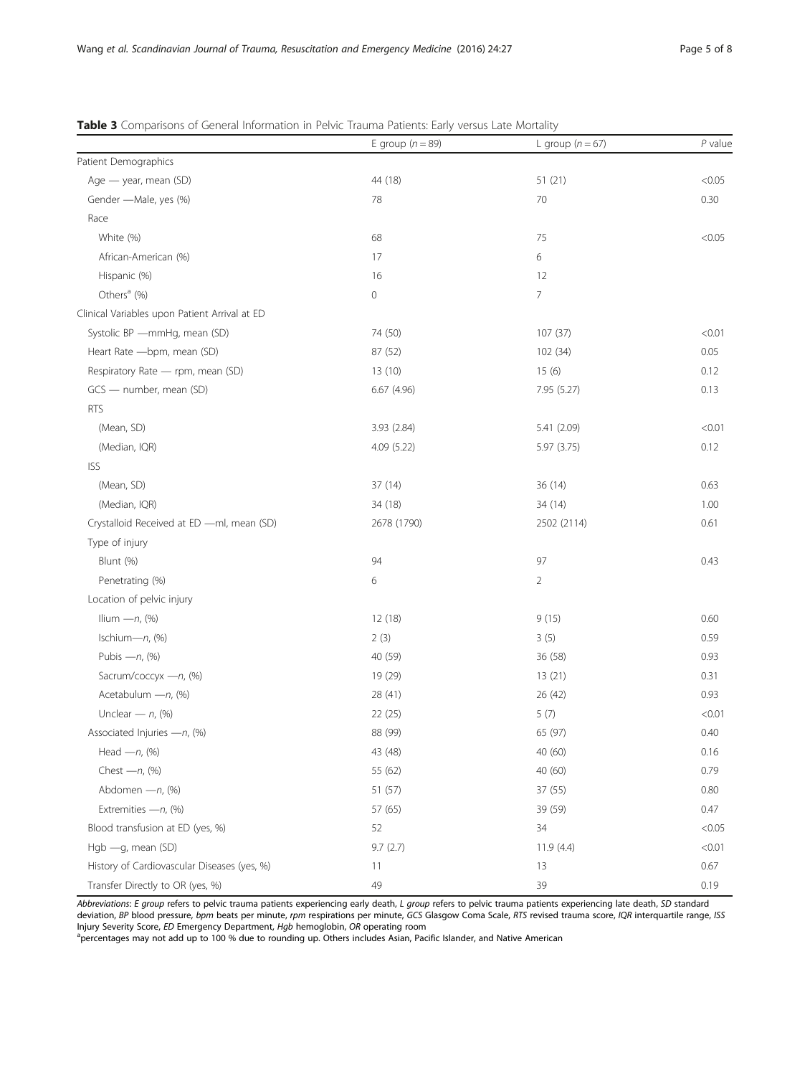|                                               | E group $(n = 89)$  | L group $(n = 67)$ | $P$ value |
|-----------------------------------------------|---------------------|--------------------|-----------|
| Patient Demographics                          |                     |                    |           |
| Age - year, mean (SD)                         | 44 (18)             | 51(21)             | < 0.05    |
| Gender - Male, yes (%)                        | 78                  | 70                 | 0.30      |
| Race                                          |                     |                    |           |
| White (%)                                     | 68                  | 75                 | < 0.05    |
| African-American (%)                          | 17                  | 6                  |           |
| Hispanic (%)                                  | 16                  | 12                 |           |
| Others <sup>a</sup> (%)                       | $\mathsf{O}\xspace$ | $\overline{7}$     |           |
| Clinical Variables upon Patient Arrival at ED |                     |                    |           |
| Systolic BP - mmHg, mean (SD)                 | 74 (50)             | 107 (37)           | < 0.01    |
| Heart Rate - bpm, mean (SD)                   | 87 (52)             | 102 (34)           | 0.05      |
| Respiratory Rate - rpm, mean (SD)             | 13 (10)             | 15(6)              | 0.12      |
| GCS - number, mean (SD)                       | 6.67(4.96)          | 7.95 (5.27)        | 0.13      |
| <b>RTS</b>                                    |                     |                    |           |
| (Mean, SD)                                    | 3.93 (2.84)         | 5.41 (2.09)        | < 0.01    |
| (Median, IQR)                                 | 4.09(5.22)          | 5.97 (3.75)        | 0.12      |
| <b>ISS</b>                                    |                     |                    |           |
| (Mean, SD)                                    | 37 (14)             | 36 (14)            | 0.63      |
| (Median, IQR)                                 | 34 (18)             | 34 (14)            | 1.00      |
| Crystalloid Received at ED -ml, mean (SD)     | 2678 (1790)         | 2502 (2114)        | 0.61      |
| Type of injury                                |                     |                    |           |
| Blunt (%)                                     | 94                  | 97                 | 0.43      |
| Penetrating (%)                               | 6                   | $\overline{2}$     |           |
| Location of pelvic injury                     |                     |                    |           |
| Ilium $-n$ , $(*)$                            | 12(18)              | 9(15)              | 0.60      |
| Ischium-n, (%)                                | 2(3)                | 3(5)               | 0.59      |
| Pubis $-n$ , $(%)$                            | 40 (59)             | 36 (58)            | 0.93      |
| Sacrum/coccyx -n, (%)                         | 19 (29)             | 13(21)             | 0.31      |
| Acetabulum - n, (%)                           | 28 (41)             | 26 (42)            | 0.93      |
| Unclear $- n$ , $(*)$                         | 22 (25)             | 5(7)               | < 0.01    |
| Associated Injuries - n, (%)                  | 88 (99)             | 65 (97)            | 0.40      |
| Head $-n$ , $(*)$                             | 43 (48)             | 40 (60)            | 0.16      |
| Chest $-n$ , $(*)$                            | 55 (62)             | 40 (60)            | 0.79      |
| Abdomen - n, (%)                              | 51 (57)             | 37 (55)            | 0.80      |
| Extremities - n, (%)                          | 57 (65)             | 39 (59)            | 0.47      |
| Blood transfusion at ED (yes, %)              | 52                  | 34                 | < 0.05    |
| Hgb - g, mean (SD)                            | 9.7(2.7)            | 11.9(4.4)          | < 0.01    |
| History of Cardiovascular Diseases (yes, %)   | 11                  | 13                 | 0.67      |
| Transfer Directly to OR (yes, %)              | 49                  | 39                 | 0.19      |

<span id="page-4-0"></span>

| <b>Table 3</b> Comparisons of General Information in Pelvic Trauma Patients: Early versus Late Mortality |  |  |  |  |
|----------------------------------------------------------------------------------------------------------|--|--|--|--|
|----------------------------------------------------------------------------------------------------------|--|--|--|--|

Abbreviations: E group refers to pelvic trauma patients experiencing early death, L group refers to pelvic trauma patients experiencing late death, SD standard deviation, BP blood pressure, bpm beats per minute, rpm respirations per minute, GCS Glasgow Coma Scale, RTS revised trauma score, IQR interquartile range, ISS

Injury Severity Score, *ED* Emergency Department, *Hgb* hemoglobin, *OR* operating room<br><sup>a</sup>percentages may not add up to 100 % due to rounding up. Others includes Asian, Pacific Islander, and Native American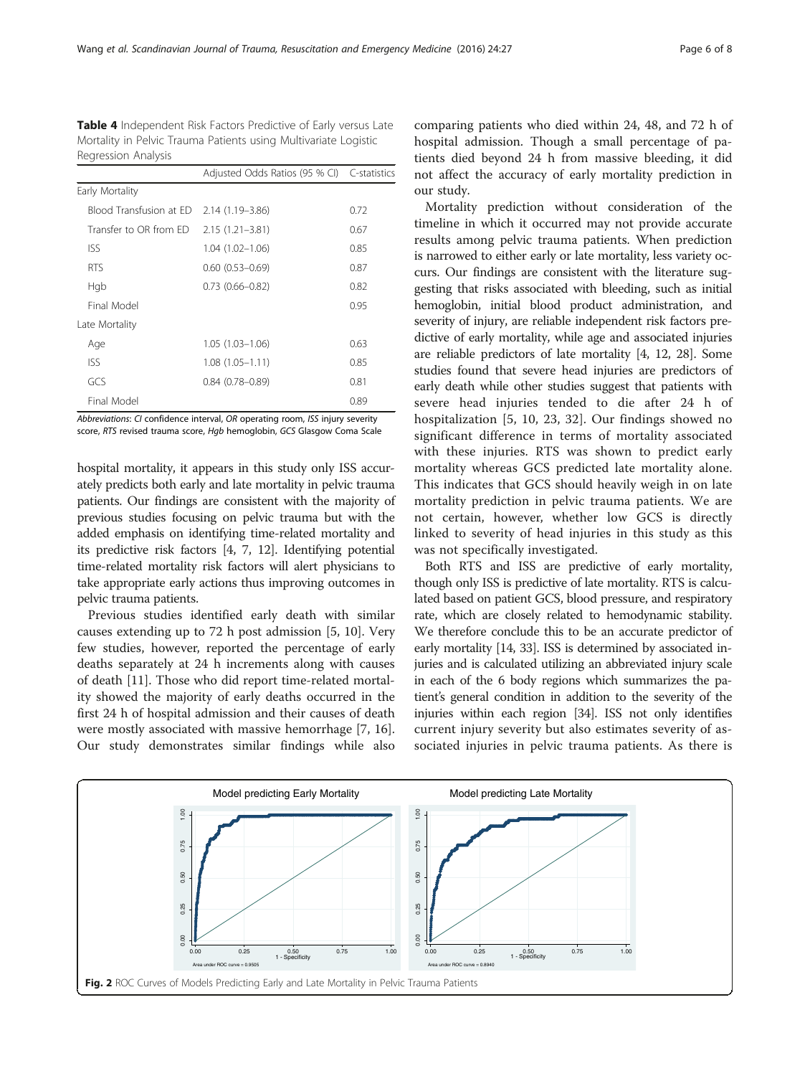<span id="page-5-0"></span>Table 4 Independent Risk Factors Predictive of Early versus Late Mortality in Pelvic Trauma Patients using Multivariate Logistic Regression Analysis

|                         | Adjusted Odds Ratios (95 % CI) C-statistics |      |
|-------------------------|---------------------------------------------|------|
| Early Mortality         |                                             |      |
| Blood Transfusion at FD | $2.14(1.19 - 3.86)$                         | 0.72 |
| Transfer to OR from FD  | $2.15(1.21 - 3.81)$                         | 0.67 |
| <b>ISS</b>              | $1.04(1.02 - 1.06)$                         | 0.85 |
| <b>RTS</b>              | $0.60(0.53 - 0.69)$                         | 0.87 |
| Hgb                     | $0.73(0.66 - 0.82)$                         | 0.82 |
| Final Model             |                                             | 0.95 |
| Late Mortality          |                                             |      |
| Age                     | $1.05(1.03 - 1.06)$                         | 0.63 |
| <b>ISS</b>              | $1.08(1.05 - 1.11)$                         | 0.85 |
| GCS                     | $0.84(0.78 - 0.89)$                         | 0.81 |
| Final Model             |                                             | 0.89 |

Abbreviations: CI confidence interval, OR operating room, ISS injury severity score, RTS revised trauma score, Hgb hemoglobin, GCS Glasgow Coma Scale

hospital mortality, it appears in this study only ISS accurately predicts both early and late mortality in pelvic trauma patients. Our findings are consistent with the majority of previous studies focusing on pelvic trauma but with the added emphasis on identifying time-related mortality and its predictive risk factors [[4](#page-6-0), [7, 12](#page-6-0)]. Identifying potential time-related mortality risk factors will alert physicians to take appropriate early actions thus improving outcomes in pelvic trauma patients.

Previous studies identified early death with similar causes extending up to 72 h post admission [[5, 10\]](#page-6-0). Very few studies, however, reported the percentage of early deaths separately at 24 h increments along with causes of death [\[11](#page-6-0)]. Those who did report time-related mortality showed the majority of early deaths occurred in the first 24 h of hospital admission and their causes of death were mostly associated with massive hemorrhage [\[7](#page-6-0), [16](#page-7-0)]. Our study demonstrates similar findings while also

comparing patients who died within 24, 48, and 72 h of hospital admission. Though a small percentage of patients died beyond 24 h from massive bleeding, it did not affect the accuracy of early mortality prediction in our study.

Mortality prediction without consideration of the timeline in which it occurred may not provide accurate results among pelvic trauma patients. When prediction is narrowed to either early or late mortality, less variety occurs. Our findings are consistent with the literature suggesting that risks associated with bleeding, such as initial hemoglobin, initial blood product administration, and severity of injury, are reliable independent risk factors predictive of early mortality, while age and associated injuries are reliable predictors of late mortality [[4, 12](#page-6-0), [28](#page-7-0)]. Some studies found that severe head injuries are predictors of early death while other studies suggest that patients with severe head injuries tended to die after 24 h of hospitalization [[5, 10,](#page-6-0) [23, 32\]](#page-7-0). Our findings showed no significant difference in terms of mortality associated with these injuries. RTS was shown to predict early mortality whereas GCS predicted late mortality alone. This indicates that GCS should heavily weigh in on late mortality prediction in pelvic trauma patients. We are not certain, however, whether low GCS is directly linked to severity of head injuries in this study as this was not specifically investigated.

Both RTS and ISS are predictive of early mortality, though only ISS is predictive of late mortality. RTS is calculated based on patient GCS, blood pressure, and respiratory rate, which are closely related to hemodynamic stability. We therefore conclude this to be an accurate predictor of early mortality [[14](#page-7-0), [33\]](#page-7-0). ISS is determined by associated injuries and is calculated utilizing an abbreviated injury scale in each of the 6 body regions which summarizes the patient's general condition in addition to the severity of the injuries within each region [\[34](#page-7-0)]. ISS not only identifies current injury severity but also estimates severity of associated injuries in pelvic trauma patients. As there is

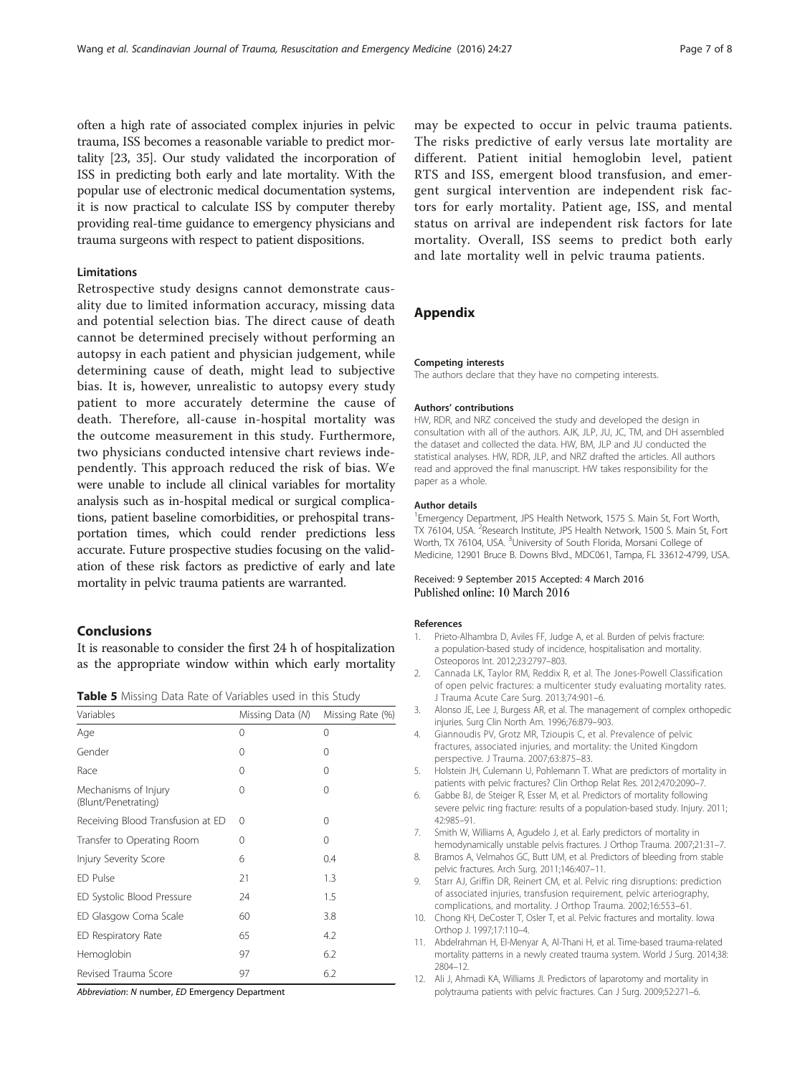<span id="page-6-0"></span>often a high rate of associated complex injuries in pelvic trauma, ISS becomes a reasonable variable to predict mortality [\[23, 35\]](#page-7-0). Our study validated the incorporation of ISS in predicting both early and late mortality. With the popular use of electronic medical documentation systems, it is now practical to calculate ISS by computer thereby providing real-time guidance to emergency physicians and trauma surgeons with respect to patient dispositions.

#### Limitations

Retrospective study designs cannot demonstrate causality due to limited information accuracy, missing data and potential selection bias. The direct cause of death cannot be determined precisely without performing an autopsy in each patient and physician judgement, while determining cause of death, might lead to subjective bias. It is, however, unrealistic to autopsy every study patient to more accurately determine the cause of death. Therefore, all-cause in-hospital mortality was the outcome measurement in this study. Furthermore, two physicians conducted intensive chart reviews independently. This approach reduced the risk of bias. We were unable to include all clinical variables for mortality analysis such as in-hospital medical or surgical complications, patient baseline comorbidities, or prehospital transportation times, which could render predictions less accurate. Future prospective studies focusing on the validation of these risk factors as predictive of early and late mortality in pelvic trauma patients are warranted.

#### **Conclusions**

It is reasonable to consider the first 24 h of hospitalization as the appropriate window within which early mortality

| <b>Table 5</b> Missing Data Rate of Variables used in this Study |  |  |  |  |
|------------------------------------------------------------------|--|--|--|--|
|------------------------------------------------------------------|--|--|--|--|

| Variables                                   | Missing Data (N) | Missing Rate (%) |
|---------------------------------------------|------------------|------------------|
| Age                                         | 0                | 0                |
| Gender                                      | 0                | 0                |
| Race                                        | 0                | $\Omega$         |
| Mechanisms of Injury<br>(Blunt/Penetrating) | 0                | $\Omega$         |
| Receiving Blood Transfusion at ED           | $\Omega$         | 0                |
| Transfer to Operating Room                  | 0                | $\Omega$         |
| Injury Severity Score                       | 6                | 0.4              |
| FD Pulse                                    | 21               | 1.3              |
| ED Systolic Blood Pressure                  | 24               | 1.5              |
| ED Glasgow Coma Scale                       | 60               | 3.8              |
| ED Respiratory Rate                         | 65               | 4.2              |
| Hemoglobin                                  | 97               | 6.2              |
| Revised Trauma Score                        | 97               | 6.2              |

Abbreviation: N number, ED Emergency Department

may be expected to occur in pelvic trauma patients. The risks predictive of early versus late mortality are different. Patient initial hemoglobin level, patient RTS and ISS, emergent blood transfusion, and emergent surgical intervention are independent risk factors for early mortality. Patient age, ISS, and mental status on arrival are independent risk factors for late mortality. Overall, ISS seems to predict both early and late mortality well in pelvic trauma patients.

#### Appendix

#### Competing interests

The authors declare that they have no competing interests.

#### Authors' contributions

HW, RDR, and NRZ conceived the study and developed the design in consultation with all of the authors. AJK, JLP, JU, JC, TM, and DH assembled the dataset and collected the data. HW, BM, JLP and JU conducted the statistical analyses. HW, RDR, JLP, and NRZ drafted the articles. All authors read and approved the final manuscript. HW takes responsibility for the paper as a whole.

#### Author details

<sup>1</sup> Emergency Department, JPS Health Network, 1575 S. Main St, Fort Worth TX 76104, USA. <sup>2</sup>Research Institute, JPS Health Network, 1500 S. Main St, Fort Worth, TX 76104, USA. <sup>3</sup>University of South Florida, Morsani College of Medicine, 12901 Bruce B. Downs Blvd., MDC061, Tampa, FL 33612-4799, USA.

#### Received: 9 September 2015 Accepted: 4 March 2016 Published online: 10 March 2016

#### References

- 1. Prieto-Alhambra D, Aviles FF, Judge A, et al. Burden of pelvis fracture: a population-based study of incidence, hospitalisation and mortality. Osteoporos Int. 2012;23:2797–803.
- 2. Cannada LK, Taylor RM, Reddix R, et al. The Jones-Powell Classification of open pelvic fractures: a multicenter study evaluating mortality rates. J Trauma Acute Care Surg. 2013;74:901–6.
- 3. Alonso JE, Lee J, Burgess AR, et al. The management of complex orthopedic injuries. Surg Clin North Am. 1996;76:879–903.
- 4. Giannoudis PV, Grotz MR, Tzioupis C, et al. Prevalence of pelvic fractures, associated injuries, and mortality: the United Kingdom perspective. J Trauma. 2007;63:875–83.
- 5. Holstein JH, Culemann U, Pohlemann T. What are predictors of mortality in patients with pelvic fractures? Clin Orthop Relat Res. 2012;470:2090–7.
- 6. Gabbe BJ, de Steiger R, Esser M, et al. Predictors of mortality following severe pelvic ring fracture: results of a population-based study. Injury. 2011; 42:985–91.
- 7. Smith W, Williams A, Agudelo J, et al. Early predictors of mortality in hemodynamically unstable pelvis fractures. J Orthop Trauma. 2007;21:31–7.
- 8. Bramos A, Velmahos GC, Butt UM, et al. Predictors of bleeding from stable pelvic fractures. Arch Surg. 2011;146:407–11.
- Starr AJ, Griffin DR, Reinert CM, et al. Pelvic ring disruptions: prediction of associated injuries, transfusion requirement, pelvic arteriography, complications, and mortality. J Orthop Trauma. 2002;16:553–61.
- 10. Chong KH, DeCoster T, Osler T, et al. Pelvic fractures and mortality. Iowa Orthop J. 1997;17:110–4.
- 11. Abdelrahman H, El-Menyar A, Al-Thani H, et al. Time-based trauma-related mortality patterns in a newly created trauma system. World J Surg. 2014;38: 2804–12.
- 12. Ali J, Ahmadi KA, Williams JI. Predictors of laparotomy and mortality in polytrauma patients with pelvic fractures. Can J Surg. 2009;52:271–6.